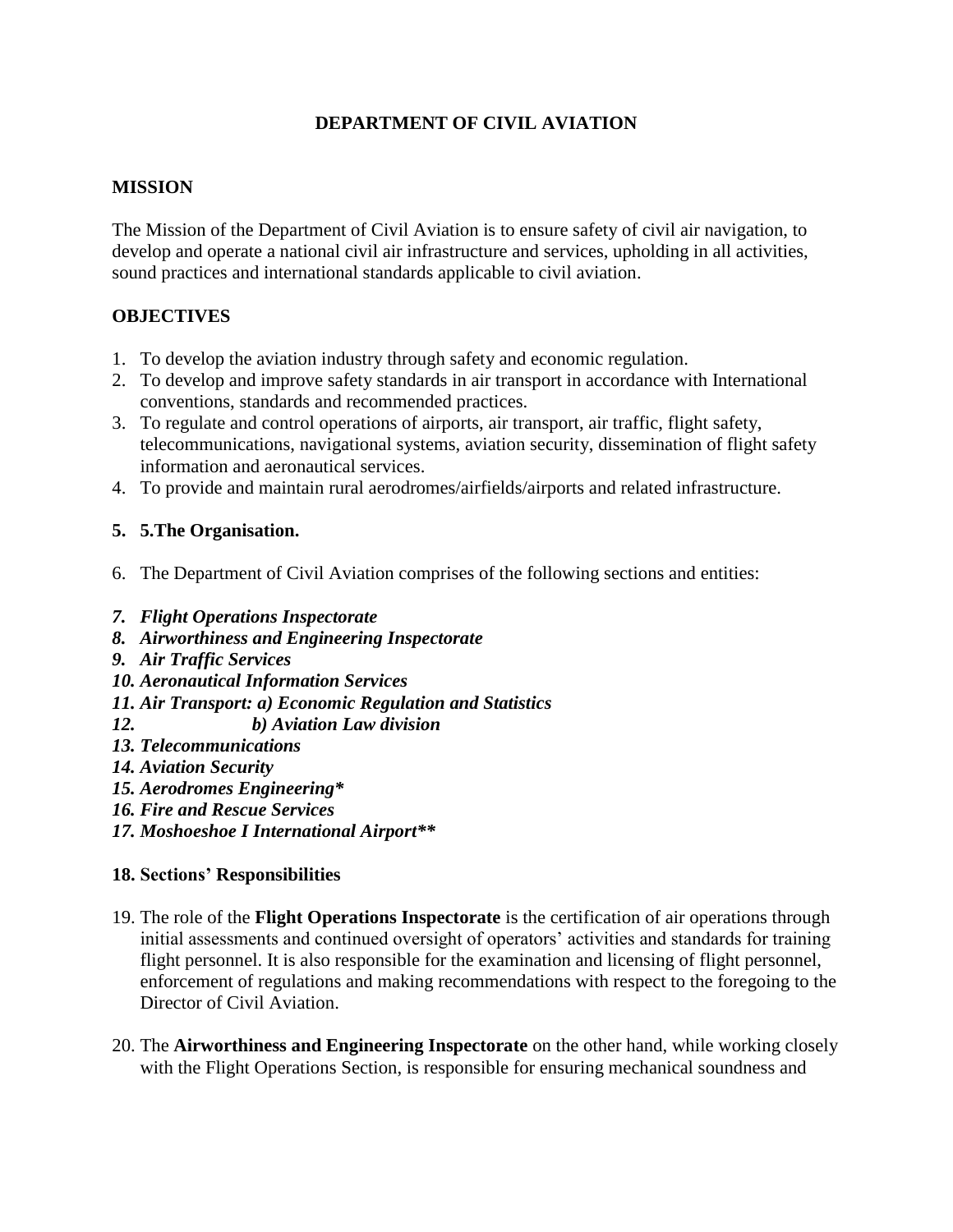# **DEPARTMENT OF CIVIL AVIATION**

### **MISSION**

The Mission of the Department of Civil Aviation is to ensure safety of civil air navigation, to develop and operate a national civil air infrastructure and services, upholding in all activities, sound practices and international standards applicable to civil aviation.

### **OBJECTIVES**

- 1. To develop the aviation industry through safety and economic regulation.
- 2. To develop and improve safety standards in air transport in accordance with International conventions, standards and recommended practices.
- 3. To regulate and control operations of airports, air transport, air traffic, flight safety, telecommunications, navigational systems, aviation security, dissemination of flight safety information and aeronautical services.
- 4. To provide and maintain rural aerodromes/airfields/airports and related infrastructure.

### **5. 5.The Organisation.**

- 6. The Department of Civil Aviation comprises of the following sections and entities:
- *7. Flight Operations Inspectorate*
- *8. Airworthiness and Engineering Inspectorate*
- *9. Air Traffic Services*
- *10. Aeronautical Information Services*
- *11. Air Transport: a) Economic Regulation and Statistics*
- *12. b) Aviation Law division*
- *13. Telecommunications*
- *14. Aviation Security*
- *15. Aerodromes Engineering\**
- *16. Fire and Rescue Services*
- *17. Moshoeshoe I International Airport\*\**

#### **18. Sections' Responsibilities**

- 19. The role of the **Flight Operations Inspectorate** is the certification of air operations through initial assessments and continued oversight of operators' activities and standards for training flight personnel. It is also responsible for the examination and licensing of flight personnel, enforcement of regulations and making recommendations with respect to the foregoing to the Director of Civil Aviation.
- 20. The **Airworthiness and Engineering Inspectorate** on the other hand, while working closely with the Flight Operations Section, is responsible for ensuring mechanical soundness and